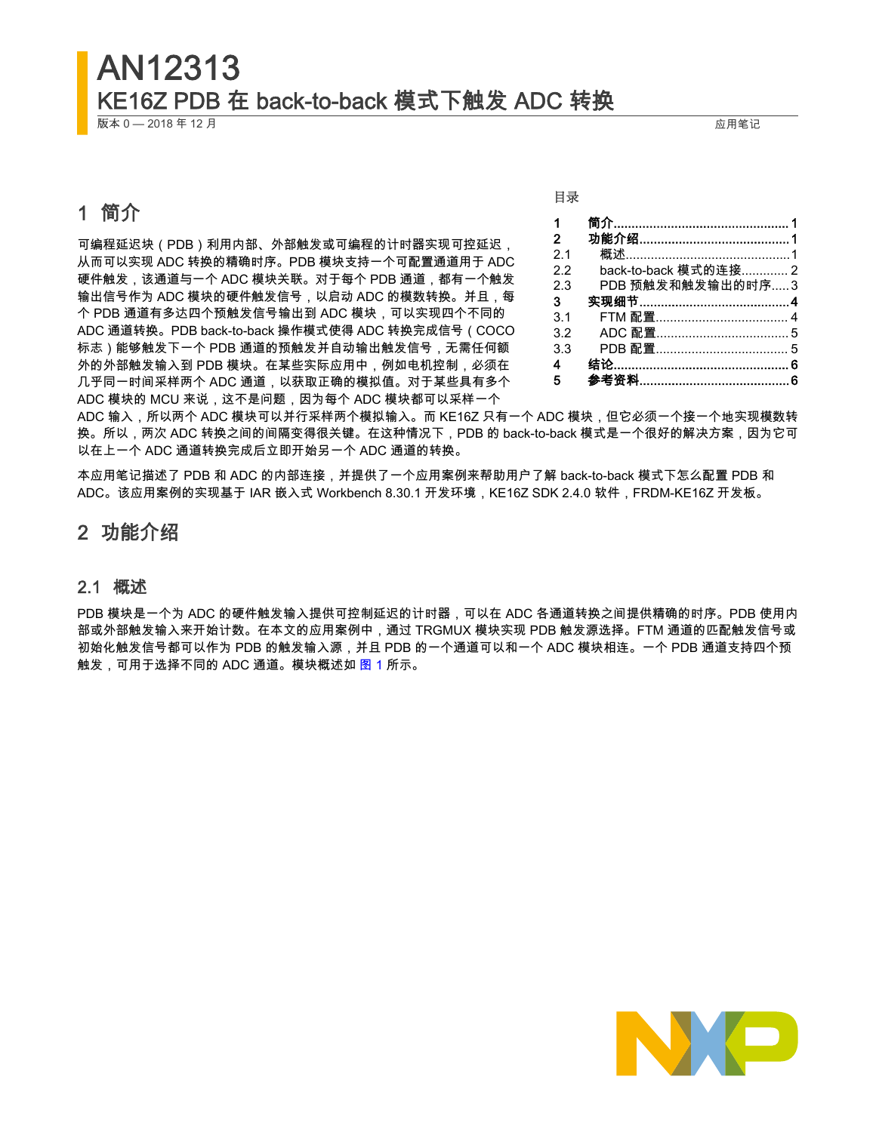## AN12313 KE16Z PDB 在 back-to-back 模式下触发 ADC 转换

版本 0 — 2018 年 12 月 应用笔记

## 1 简介

可编程延迟块(PDB)利用内部、外部触发或可编程的计时器实现可控延迟, 从而可以实现 ADC 转换的精确时序。PDB 模块支持一个可配置通道用于 ADC 硬件触发,该通道与一个 ADC 模块关联。对于每个 PDB 通道,都有一个触发 输出信号作为 ADC 模块的硬件触发信号,以启动 ADC 的模数转换。并且,每 个 PDB 通道有多达四个预触发信号输出到 ADC 模块,可以实现四个不同的 ADC 通道转换。PDB back-to-back 操作模式使得 ADC 转换完成信号(COCO 标志)能够触发下一个 PDB 通道的预触发并自动输出触发信号,无需任何额 外的外部触发输入到 PDB 模块。在某些实际应用中,例如电机控制,必须在 几乎同一时间采样两个 ADC 通道,以获取正确的模拟值。对于某些具有多个 ADC 模块的 MCU 来说,这不是问题,因为每个 ADC 模块都可以采样一个

目录

| 1            |                      |
|--------------|----------------------|
| $\mathbf{2}$ |                      |
| 21           |                      |
| っっ           | back-to-back 模式的连接 2 |
| 23           | PDB 预触发和触发输出的时序3     |
| З            |                      |
| 3.1          | FTM 配置………………………………4  |
| 32           | ADC 配置………………………………5  |
| 3.3          | PDB 配置………………………………5  |
| 4            |                      |
| 5            |                      |

ADC 输入,所以两个 ADC 模块可以并行采样两个模拟输入。而 KE16Z 只有一个 ADC 模块,但它必须一个接一个地实现模数转 换。所以,两次 ADC 转换之间的间隔变得很关键。在这种情况下,PDB 的 back-to-back 模式是一个很好的解决方案,因为它可 以在上一个 ADC 通道转换完成后立即开始另一个 ADC 通道的转换。

本应用笔记描述了 PDB 和 ADC 的内部连接,并提供了一个应用案例来帮助用户了解 back-to-back 模式下怎么配置 PDB 和 ADC。该应用案例的实现基于 IAR 嵌入式 Workbench 8.30.1 开发环境,KE16Z SDK 2.4.0 软件,FRDM-KE16Z 开发板。

## 2 功能介绍

## 2.1 概述

PDB 模块是一个为 ADC 的硬件触发输入提供可控制延迟的计时器,可以在 ADC 各通道转换之间提供精确的时序。PDB 使用内 部或外部触发输入来开始计数。在本文的应用案例中,通过 TRGMUX 模块实现 PDB 触发源选择。FTM 通道的匹配触发信号或 初始化触发信号都可以作为 PDB 的触发输入源,并且 PDB 的一个通道可以和一个 ADC 模块相连。一个 PDB 通道支持四个预 触发,可用于选择不同的 ADC 通道。模块概述如 <u>图</u> 1 所示。

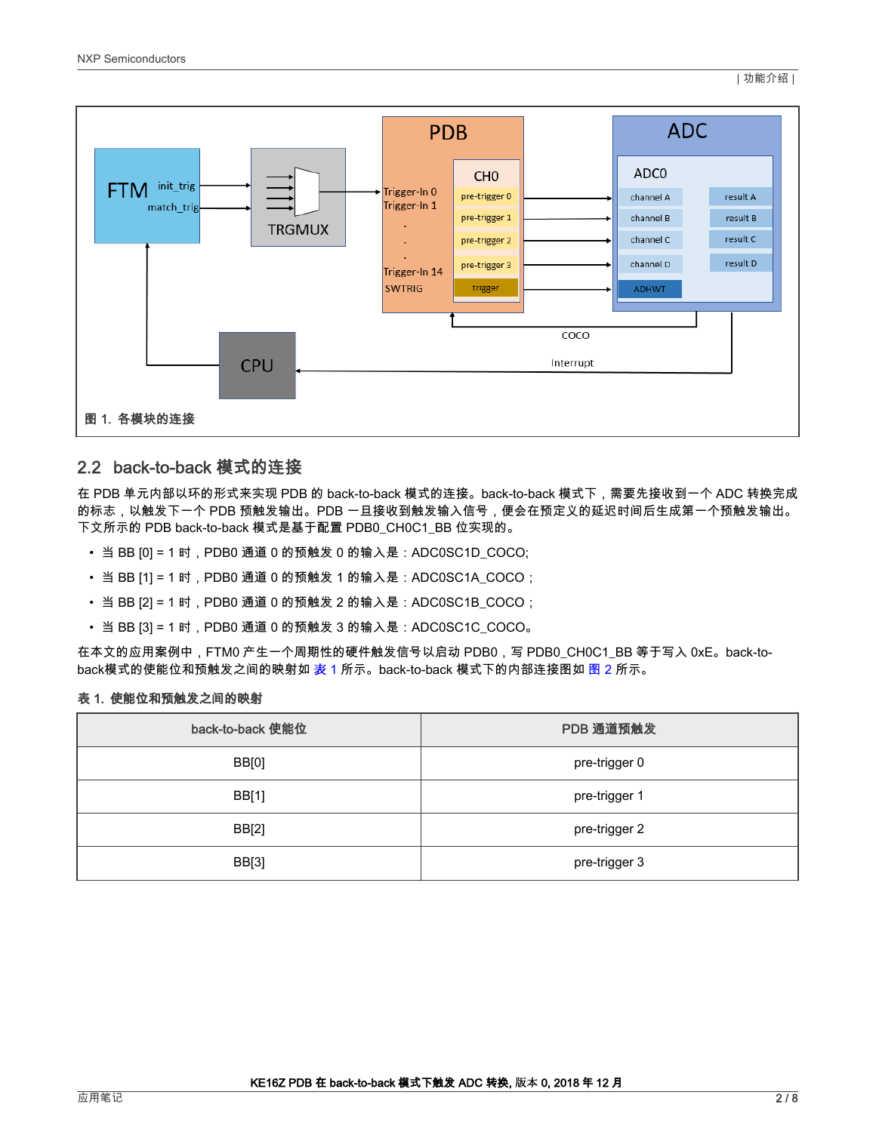<span id="page-1-0"></span>

## 2.2 back-to-back 模式的连接

在 PDB 单元内部以环的形式来实现 PDB 的 back-to-back 模式的连接。back-to-back 模式下,需要先接收到一个 ADC 转换完成 的标志,以触发下一个 PDB 预触发输出。PDB 一旦接收到触发输入信号,便会在预定义的延迟时间后生成第一个预触发输出。 下文所示的 PDB back-to-back 模式是基于配置 PDB0\_CH0C1\_BB 位实现的。

- 当 BB [0] = 1 时,PDB0 通道 0 的预触发 0 的输入是:ADC0SC1D\_COCO;
- 当 BB [1] = 1 时,PDB0 通道 0 的预触发 1 的输入是:ADC0SC1A\_COCO;
- 当 BB [2] = 1 时,PDB0 通道 0 的预触发 2 的输入是:ADC0SC1B\_COCO;
- 当 BB [3] = 1 时,PDB0 通道 0 的预触发 3 的输入是:ADC0SC1C\_COCO。

在本文的应用案例中,FTM0 产生一个周期性的硬件触发信号以启动 PDB0,写 PDB0\_CH0C1\_BB 等于写入 0xE。back-toback模式的使能位和预触发之间的映射如 表 1 所示。back-to-back 模式下的内部连接图如 [图 2](#page-2-0) 所示。

#### 表 1. 使能位和预触发之间的映射

| back-to-back 使能位 | PDB 通道预触发     |
|------------------|---------------|
| BB[0]            | pre-trigger 0 |
| BB[1]            | pre-trigger 1 |
| BB[2]            | pre-trigger 2 |
| BB[3]            | pre-trigger 3 |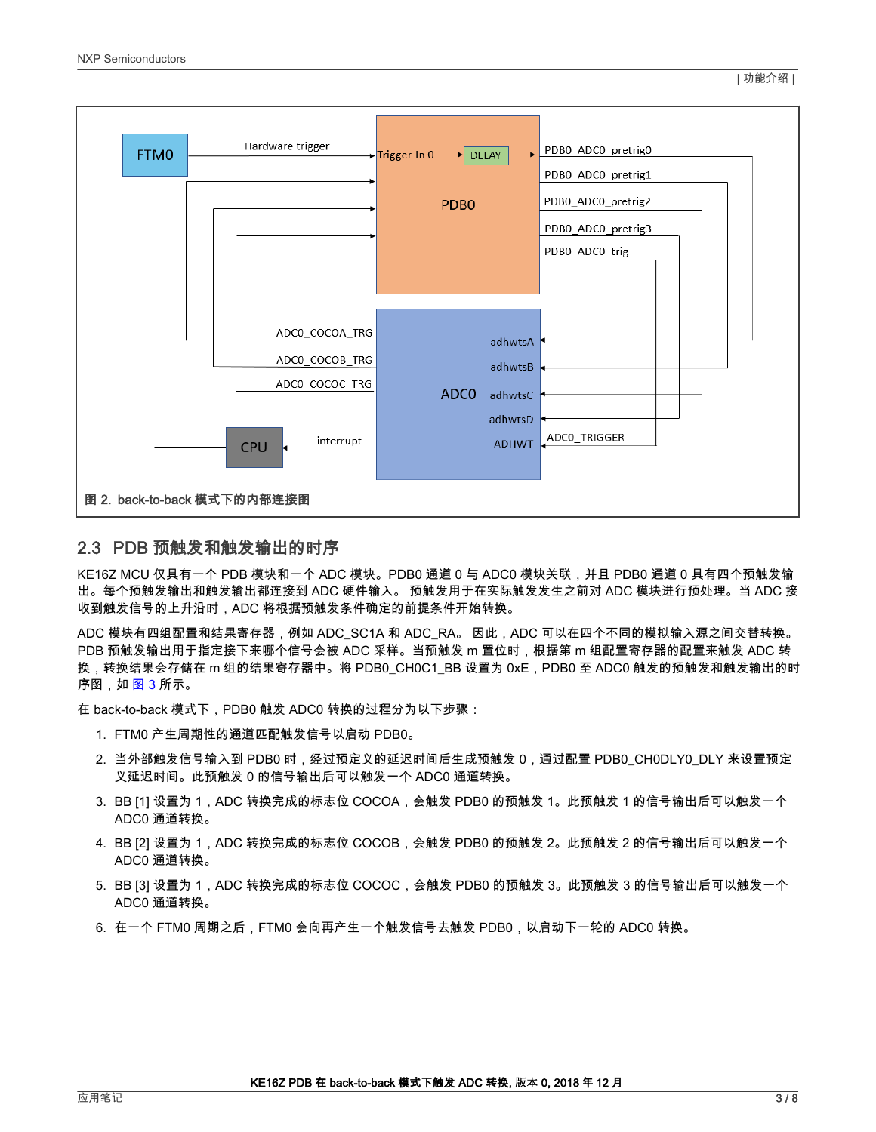<span id="page-2-0"></span>

## 2.3 PDB 预触发和触发输出的时序

KE16Z MCU 仅具有一个 PDB 模块和一个 ADC 模块。PDB0 通道 0 与 ADC0 模块关联,并且 PDB0 通道 0 具有四个预触发输 出。每个预触发输出和触发输出都连接到 ADC 硬件输入。 预触发用于在实际触发发生之前对 ADC 模块进行预处理。当 ADC 接 收到触发信号的上升沿时,ADC 将根据预触发条件确定的前提条件开始转换。

ADC 模块有四组配置和结果寄存器,例如 ADC\_SC1A 和 ADC\_RA。 因此,ADC 可以在四个不同的模拟输入源之间交替转换。 PDB 预触发输出用于指定接下来哪个信号会被 ADC 采样。当预触发 m 置位时,根据第 m 组配置寄存器的配置来触发 ADC 转 换,转换结果会存储在 m 组的结果寄存器中。将 PDB0\_CH0C1\_BB 设置为 0xE,PDB0 至 ADC0 触发的预触发和触发输出的时 序图,如 <u>图 3</u> 所示。

在 back-to-back 模式下,PDB0 触发 ADC0 转换的过程分为以下步骤:

- 1. FTM0 产生周期性的通道匹配触发信号以启动 PDB0。
- 2. 当外部触发信号输入到 PDB0 时,经过预定义的延迟时间后生成预触发 0,通过配置 PDB0\_CH0DLY0\_DLY 来设置预定 义延迟时间。此预触发 0 的信号输出后可以触发一个 ADC0 通道转换。
- 3. BB [1] 设置为 1,ADC 转换完成的标志位 COCOA,会触发 PDB0 的预触发 1。此预触发 1 的信号输出后可以触发一个 ADC0 通道转换。
- 4. BB [2] 设置为 1,ADC 转换完成的标志位 COCOB,会触发 PDB0 的预触发 2。此预触发 2 的信号输出后可以触发一个 ADC0 通道转换。
- 5. BB [3] 设置为 1,ADC 转换完成的标志位 COCOC,会触发 PDB0 的预触发 3。此预触发 3 的信号输出后可以触发一个 ADC0 通道转换。
- 6. 在一个 FTM0 周期之后,FTM0 会向再产生一个触发信号去触发 PDB0,以启动下一轮的 ADC0 转换。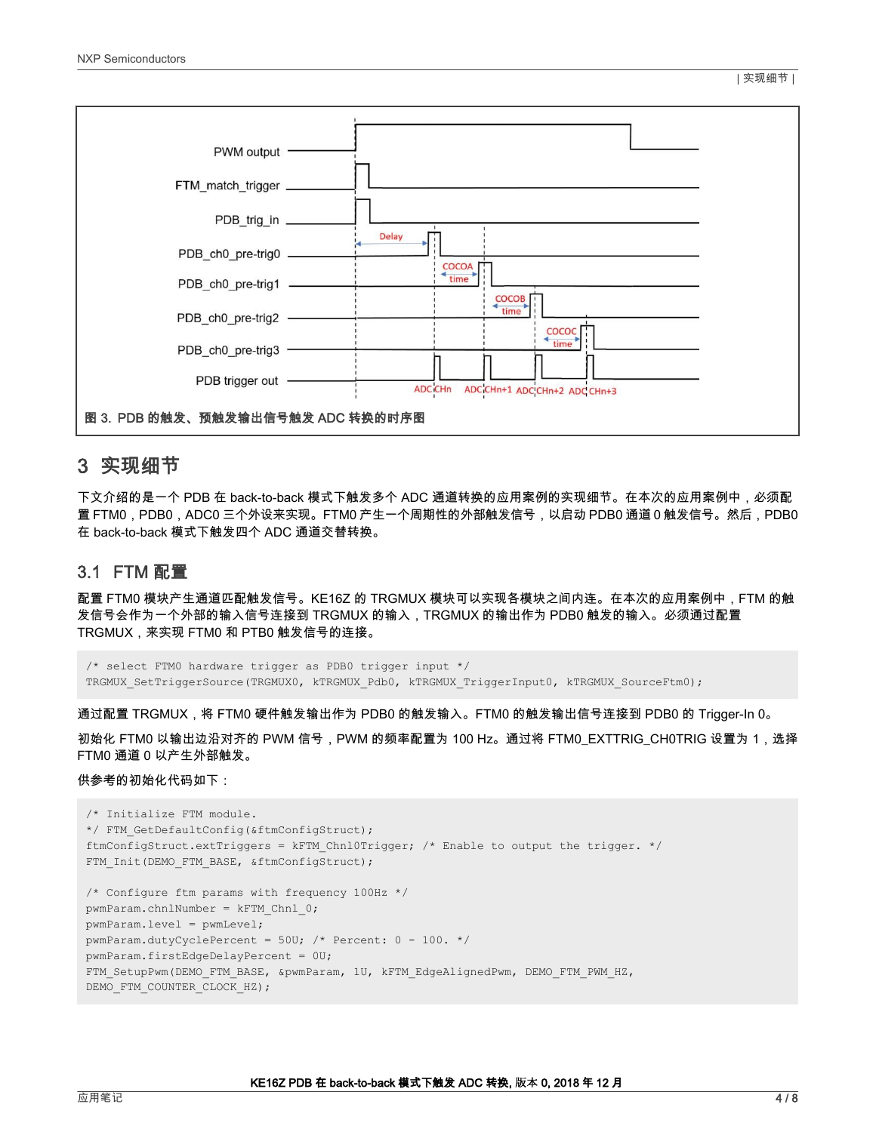<span id="page-3-0"></span>

## 3 实现细节

下文介绍的是一个 PDB 在 back-to-back 模式下触发多个 ADC 通道转换的应用案例的实现细节。在本次的应用案例中,必须配 置 FTM0,PDB0,ADC0 三个外设来实现。FTM0 产生一个周期性的外部触发信号,以启动 PDB0 通道 0 触发信号。然后,PDB0 在 back-to-back 模式下触发四个 ADC 通道交替转换。

## 3.1 FTM 配置

配置 FTM0 模块产生通道匹配触发信号。KE16Z 的 TRGMUX 模块可以实现各模块之间内连。在本次的应用案例中,FTM 的触 发信号会作为一个外部的输入信号连接到 TRGMUX 的输入,TRGMUX 的输出作为 PDB0 触发的输入。必须通过配置 TRGMUX,来实现 FTM0 和 PTB0 触发信号的连接。

```
/* select FTM0 hardware trigger as PDB0 trigger input */
TRGMUX SetTriggerSource(TRGMUX0, kTRGMUX Pdb0, kTRGMUX TriggerInput0, kTRGMUX SourceFtm0);
```
通过配置 TRGMUX,将 FTM0 硬件触发输出作为 PDB0 的触发输入。FTM0 的触发输出信号连接到 PDB0 的 Trigger-In 0。

初始化 FTM0 以输出边沿对齐的 PWM 信号,PWM 的频率配置为 100 Hz。通过将 FTM0\_EXTTRIG\_CH0TRIG 设置为 1,选择 FTM0 通道 0 以产生外部触发。

### 供参考的初始化代码如下:

```
/* Initialize FTM module.
*/ FTM GetDefaultConfig(&ftmConfigStruct);
ftmConfigStruct.extTriggers = kFTM_Chnl0Trigger; /* Enable to output the trigger. */
FTM_Init(DEMO_FTM_BASE, &ftmConfigStruct);
/* Configure ftm params with frequency 100Hz */
pwmParam.chnlNumber = kFTM Chnl 0;pwmParam.level = pwmLevel;
pwmParam.dutyCyclePercent = 50U; /* Percent: 0 - 100. */
pwmParam.firstEdgeDelayPercent = 0U;
FTM_SetupPwm(DEMO_FTM_BASE, &pwmParam, 1U, kFTM_EdgeAlignedPwm, DEMO_FTM_PWM_HZ,
DEMO_FTM_COUNTER_CLOCK_HZ);
```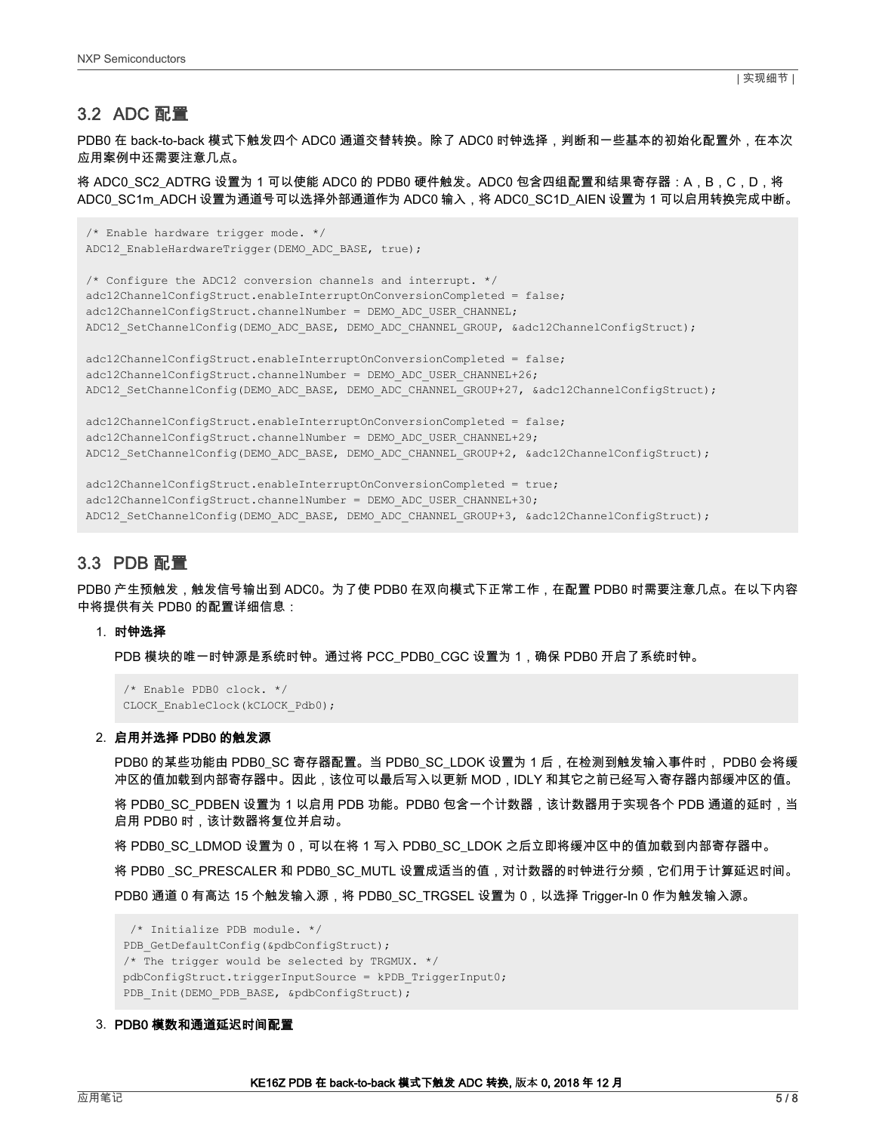<span id="page-4-0"></span>PDB0 在 back-to-back 模式下触发四个 ADC0 通道交替转换。除了 ADC0 时钟选择,判断和一些基本的初始化配置外,在本次 应用案例中还需要注意几点。

将 ADC0\_SC2\_ADTRG 设置为 1 可以使能 ADC0 的 PDB0 硬件触发。ADC0 包含四组配置和结果寄存器:A,B,C,D,将 ADC0\_SC1m\_ADCH 设置为通道号可以选择外部通道作为 ADC0 输入,将 ADC0\_SC1D\_AIEN 设置为 1 可以启用转换完成中断。

```
/* Enable hardware trigger mode. */
ADC12 EnableHardwareTrigger(DEMO_ADC_BASE, true);
/* Configure the ADC12 conversion channels and interrupt. */
adc12ChannelConfigStruct.enableInterruptOnConversionCompleted = false;
adc12ChannelConfigStruct.channelNumber = DEMO_ADC_USER_CHANNEL;
ADC12 SetChannelConfig(DEMO ADC BASE, DEMO ADC CHANNEL GROUP, &adc12ChannelConfigStruct);
adc12ChannelConfigStruct.enableInterruptOnConversionCompleted = false;
adc12ChannelConfigStruct.channelNumber = DEMO ADC USER CHANNEL+26;
ADC12_SetChannelConfig(DEMO_ADC_BASE, DEMO_ADC_CHANNEL_GROUP+27, &adc12ChannelConfigStruct);
adc12ChannelConfigStruct.enableInterruptOnConversionCompleted = false;
adc12ChannelConfigStruct.channelNumber = DEMO_ADC_USER_CHANNEL+29;
ADC12 SetChannelConfig(DEMO_ADC_BASE, DEMO_ADC_CHANNEL_GROUP+2, &adc12ChannelConfigStruct);
```

```
adc12ChannelConfigStruct.enableInterruptOnConversionCompleted = true;
adc12ChannelConfigStruct.channelNumber = DEMO ADC USER CHANNEL+30;
ADC12_SetChannelConfig(DEMO_ADC_BASE, DEMO_ADC_CHANNEL_GROUP+3, &adc12ChannelConfigStruct);
```
## 3.3 PDB 配置

PDB0 产生预触发,触发信号输出到 ADC0。为了使 PDB0 在双向模式下正常工作,在配置 PDB0 时需要注意几点。在以下内容 中将提供有关 PDB0 的配置详细信息:

#### 1. 时钟选择

PDB 模块的唯一时钟源是系统时钟。通过将 PCC\_PDB0\_CGC 设置为 1,确保 PDB0 开启了系统时钟。

```
/* Enable PDB0 clock. */
CLOCK_EnableClock(kCLOCK_Pdb0);
```
#### 2. 启用并选择 PDB0 的触发源

PDB0 的某些功能由 PDB0\_SC 寄存器配置。当 PDB0\_SC\_LDOK 设置为 1 后,在检测到触发输入事件时, PDB0 会将缓 冲区的值加载到内部寄存器中。因此,该位可以最后写入以更新 MOD,IDLY 和其它之前已经写入寄存器内部缓冲区的值。

将 PDB0\_SC\_PDBEN 设置为 1 以启用 PDB 功能。PDB0 包含一个计数器,该计数器用于实现各个 PDB 通道的延时,当 启用 PDB0 时,该计数器将复位并启动。

将 PDB0\_SC\_LDMOD 设置为 0,可以在将 1 写入 PDB0\_SC\_LDOK 之后立即将缓冲区中的值加载到内部寄存器中。

将 PDB0 \_SC\_PRESCALER 和 PDB0\_SC\_MUTL 设置成适当的值,对计数器的时钟进行分频,它们用于计算延迟时间。

PDB0 通道 0 有高达 15 个触发输入源,将 PDB0\_SC\_TRGSEL 设置为 0,以选择 Trigger-In 0 作为触发输入源。

```
/* Initialize PDB module. */
PDB GetDefaultConfig(&pdbConfigStruct);
/* The trigger would be selected by TRGMUX. */
pdbConfigStruct.triggerInputSource = kPDB_TriggerInput0;
PDB_Init(DEMO_PDB_BASE, &pdbConfigStruct);
```
#### 3. PDB0 模数和通道延迟时间配置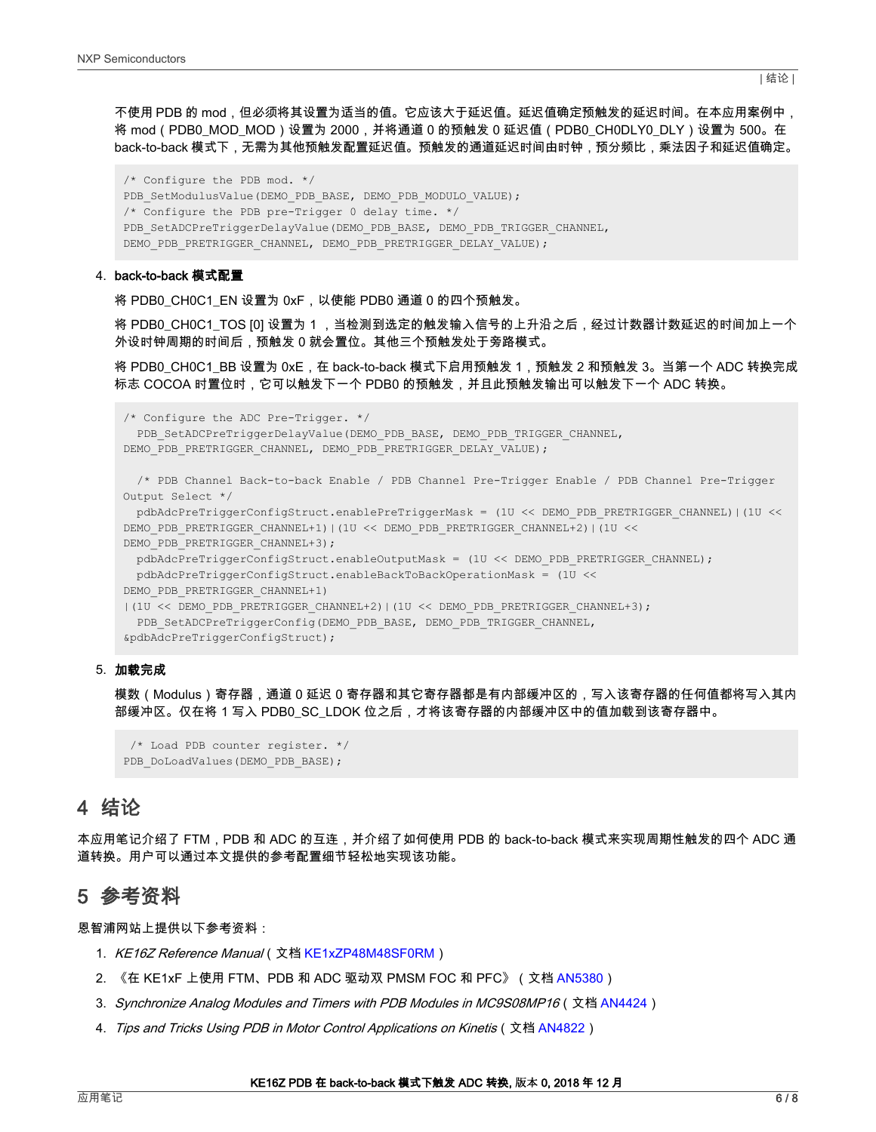<span id="page-5-0"></span>不使用 PDB 的 mod,但必须将其设置为适当的值。它应该大于延迟值。延迟值确定预触发的延迟时间。在本应用案例中, 将 mod(PDB0\_MOD\_MOD)设置为 2000,并将通道 0 的预触发 0 延迟值(PDB0\_CH0DLY0\_DLY)设置为 500。在 back-to-back 模式下,无需为其他预触发配置延迟值。预触发的通道延迟时间由时钟,预分频比,乘法因子和延迟值确定。

/\* Configure the PDB mod. \*/ PDB\_SetModulusValue(DEMO\_PDB\_BASE, DEMO\_PDB\_MODULO\_VALUE); /\* Configure the PDB pre-Trigger 0 delay time. \*/ PDB\_SetADCPreTriggerDelayValue(DEMO\_PDB\_BASE, DEMO\_PDB\_TRIGGER\_CHANNEL, DEMO\_PDB\_PRETRIGGER\_CHANNEL, DEMO\_PDB\_PRETRIGGER\_DELAY\_VALUE);

#### 4. back-to-back 模式配置

将 PDB0\_CH0C1\_EN 设置为 0xF,以使能 PDB0 通道 0 的四个预触发。

将 PDB0\_CH0C1\_TOS [0] 设置为 1 ,当检测到选定的触发输入信号的上升沿之后,经过计数器计数延迟的时间加上一个 外设时钟周期的时间后,预触发 0 就会置位。其他三个预触发处于旁路模式。

将 PDB0\_CH0C1\_BB 设置为 0xE,在 back-to-back 模式下启用预触发 1,预触发 2 和预触发 3。当第一个 ADC 转换完成 标志 COCOA 时置位时,它可以触发下一个 PDB0 的预触发,并且此预触发输出可以触发下一个 ADC 转换。

/\* Configure the ADC Pre-Trigger. \*/

PDB\_SetADCPreTriggerDelayValue(DEMO\_PDB\_BASE, DEMO\_PDB\_TRIGGER\_CHANNEL, DEMO\_PDB\_PRETRIGGER\_CHANNEL, DEMO\_PDB\_PRETRIGGER\_DELAY\_VALUE);

```
/* PDB Channel Back-to-back Enable / PDB Channel Pre-Trigger Enable / PDB Channel Pre-Trigger
Output Select */
```

```
pdbAdcPreTriggerConfigStruct.enablePreTriggerMask = (1U << DEMO_PDB_PRETRIGGER_CHANNEL)|(1U <<
DEMO_PDB_PRETRIGGER_CHANNEL+1)|(1U << DEMO_PDB_PRETRIGGER_CHANNEL+2)|(1U <<
DEMO_PDB_PRETRIGGER_CHANNEL+3);
```

```
pdbAdcPreTriggerConfigStruct.enableOutputMask = (1U << DEMO_PDB_PRETRIGGER_CHANNEL);
pdbAdcPreTriggerConfigStruct.enableBackToBackOperationMask = (1U <<
```
DEMO\_PDB\_PRETRIGGER\_CHANNEL+1)

```
|(1U << DEMO_PDB_PRETRIGGER_CHANNEL+2)|(1U << DEMO_PDB_PRETRIGGER_CHANNEL+3);
 PDB_SetADCPreTriggerConfig(DEMO_PDB_BASE, DEMO_PDB_TRIGGER_CHANNEL,
&pdbAdcPreTriggerConfigStruct);
```
#### 5. 加载完成

模数(Modulus)寄存器,通道 0 延迟 0 寄存器和其它寄存器都是有内部缓冲区的,写入该寄存器的任何值都将写入其内 部缓冲区。仅在将 1 写入 PDB0\_SC\_LDOK 位之后,才将该寄存器的内部缓冲区中的值加载到该寄存器中。

```
/* Load PDB counter register. */
PDB_DoLoadValues(DEMO_PDB_BASE);
```
## 4 结论

本应用笔记介绍了 FTM,PDB 和 ADC 的互连,并介绍了如何使用 PDB 的 back-to-back 模式来实现周期性触发的四个 ADC 通 道转换。用户可以通过本文提供的参考配置细节轻松地实现该功能。

## 5 参考资料

恩智浦网站上提供以下参考资料:

- 1. KE16Z Reference Manual (文档 [KE1xZP48M48SF0RM\)](https://www.nxp.com.cn/docs/en/reference-manual/KE1xZP48M48SF0RM.pdf)
- 2. 《在 KE1xF 上使用 FTM、PDB 和 ADC 驱动双 PMSM FOC 和 PFC》(文档 [AN5380\)](https://www.nxp.com/docs/zh/application-note/AN5380.pdf)
- 3. Synchronize Analog Modules and Timers with PDB Modules in MC9S08MP16(文档 [AN4424](https://www.nxp.com/docs/en/application-note/AN4424.pdf))
- 4. Tips and Tricks Using PDB in Motor Control Applications on Kinetis (文档 [AN4822\)](https://www.nxp.com/docs/en/application-note/AN4822.pdf)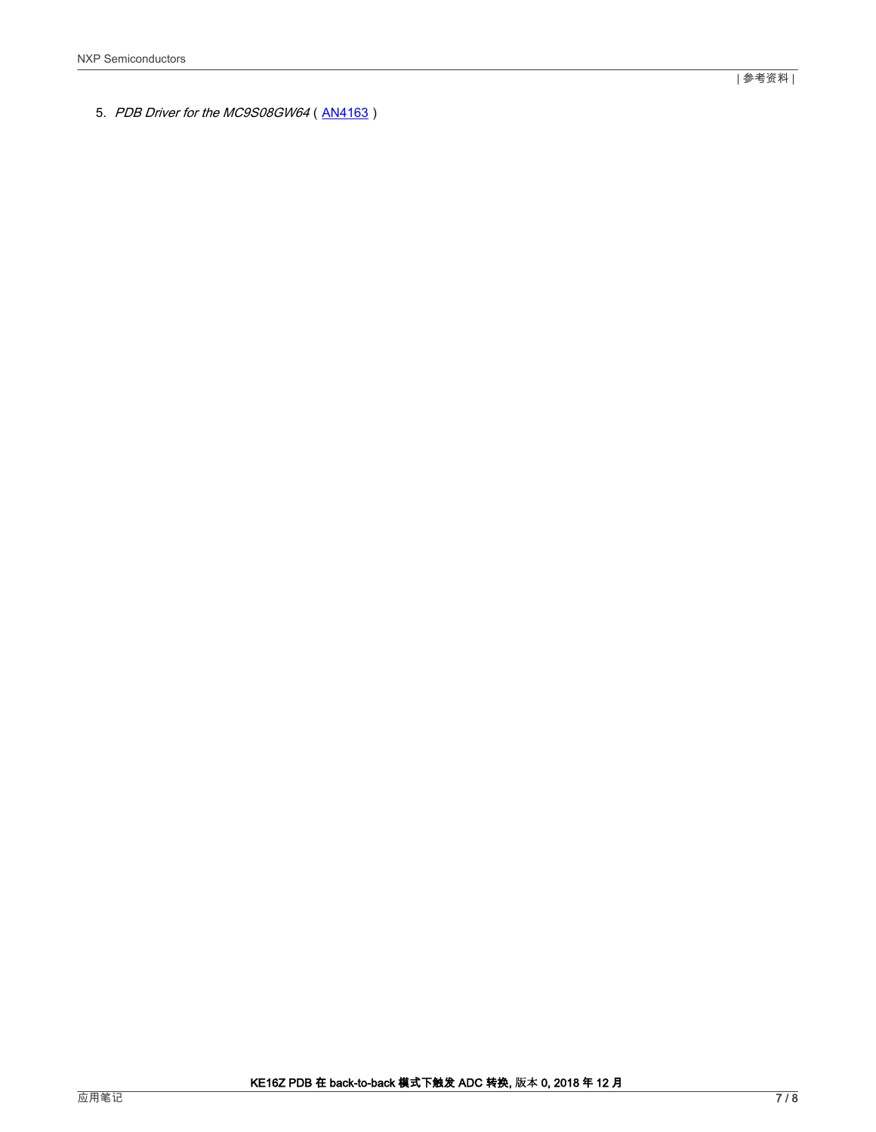5. PDB Driver for the MC9S08GW64 [\(AN4163\)](https://www.nxp.com/docs/en/application-note/AN4163.pdf)